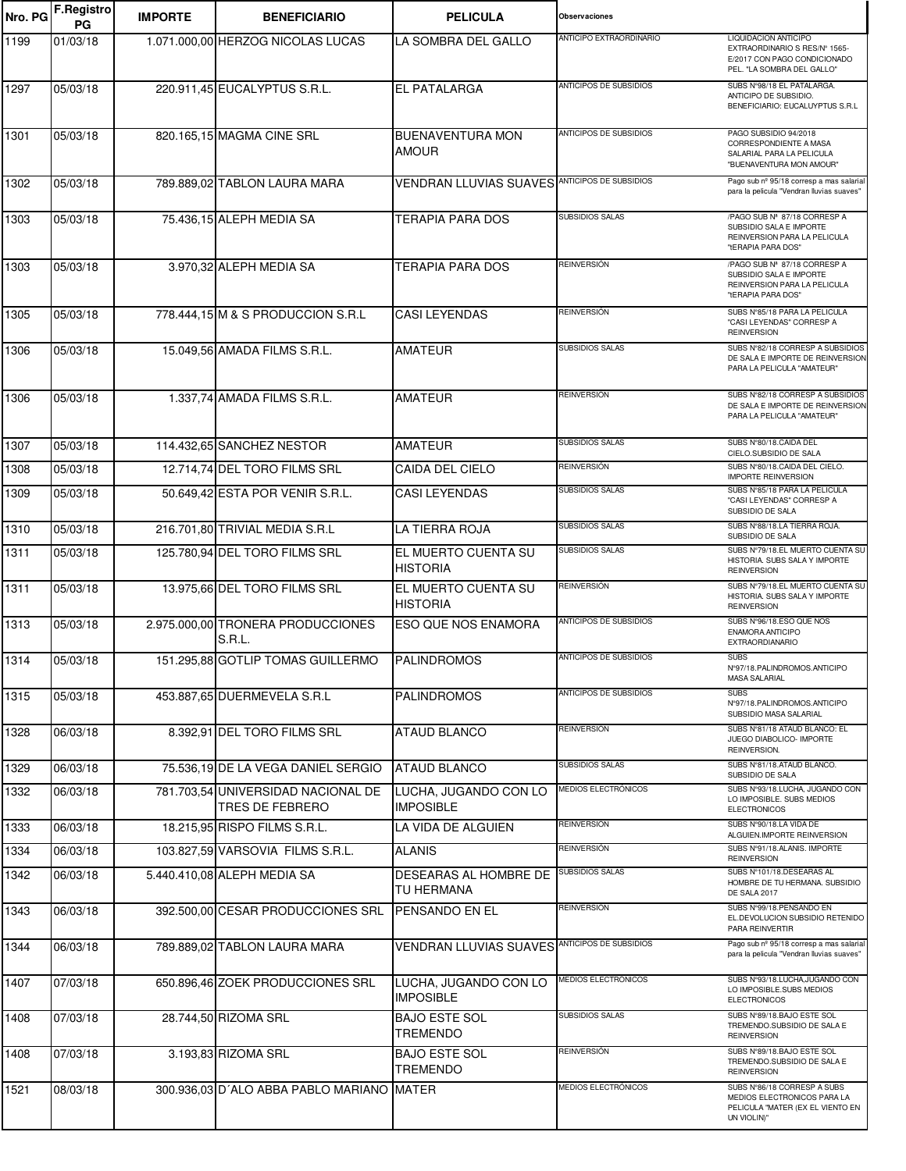| Nro. PG | <b>F.Registro</b><br>PG | <b>IMPORTE</b> | <b>BENEFICIARIO</b>                                   | <b>PELICULA</b>                                      | <b>Observaciones</b>          |                                                                                                                     |
|---------|-------------------------|----------------|-------------------------------------------------------|------------------------------------------------------|-------------------------------|---------------------------------------------------------------------------------------------------------------------|
| 1199    | 01/03/18                |                | 1.071.000,00 HERZOG NICOLAS LUCAS                     | LA SOMBRA DEL GALLO                                  | ANTICIPO EXTRAORDINARIO       | LIQUIDACION ANTICIPO<br>EXTRAORDINARIO S RES/N° 1565-<br>E/2017 CON PAGO CONDICIONADO<br>PEL. "LA SOMBRA DEL GALLO" |
| 1297    | 05/03/18                |                | 220.911,45 EUCALYPTUS S.R.L.                          | <b>EL PATALARGA</b>                                  | ANTICIPOS DE SUBSIDIOS        | SUBS N°98/18 EL PATALARGA.<br>ANTICIPO DE SUBSIDIO.<br>BENEFICIARIO: EUCALUYPTUS S.R.L                              |
| 1301    | 05/03/18                |                | 820.165,15 MAGMA CINE SRL                             | <b>BUENAVENTURA MON</b><br><b>AMOUR</b>              | ANTICIPOS DE SUBSIDIOS        | PAGO SUBSIDIO 94/2018<br>CORRESPONDIENTE A MASA<br>SALARIAL PARA LA PELICULA<br>"BUENAVENTURA MON AMOUR"            |
| 1302    | 05/03/18                |                | 789.889,02 TABLON LAURA MARA                          | <b>VENDRAN LLUVIAS SUAVES ANTICIPOS DE SUBSIDIOS</b> |                               | Pago sub nº 95/18 corresp a mas salarial<br>para la pelicula "Vendran lluvias suaves"                               |
| 1303    | 05/03/18                |                | 75.436,15 ALEPH MEDIA SA                              | <b>TERAPIA PARA DOS</b>                              | <b>SUBSIDIOS SALAS</b>        | /PAGO SUB Nº 87/18 CORRESP A<br>SUBSIDIO SALA E IMPORTE<br>REINVERSION PARA LA PELICULA<br>"tERAPIA PARA DOS"       |
| 1303    | 05/03/18                |                | 3.970,32 ALEPH MEDIA SA                               | <b>TERAPIA PARA DOS</b>                              | <b>REINVERSIÓN</b>            | /PAGO SUB Nº 87/18 CORRESP A<br>SUBSIDIO SALA E IMPORTE<br>REINVERSION PARA LA PELICULA<br>"tERAPIA PARA DOS"       |
| 1305    | 05/03/18                |                | 778.444,15 M & S PRODUCCION S.R.L                     | <b>CASI LEYENDAS</b>                                 | REINVERSIÓN                   | SUBS N°85/18 PARA LA PELICULA<br>"CASI LEYENDAS" CORRESP A<br><b>REINVERSION</b>                                    |
| 1306    | 05/03/18                |                | 15.049,56 AMADA FILMS S.R.L.                          | <b>AMATEUR</b>                                       | <b>SUBSIDIOS SALAS</b>        | SUBS N°82/18 CORRESP A SUBSIDIOS<br>DE SALA E IMPORTE DE REINVERSION<br>PARA LA PELICULA "AMATEUR"                  |
| 1306    | 05/03/18                |                | 1.337,74 AMADA FILMS S.R.L.                           | <b>AMATEUR</b>                                       | <b>REINVERSIÓN</b>            | SUBS N°82/18 CORRESP A SUBSIDIOS<br>DE SALA E IMPORTE DE REINVERSION<br>PARA LA PELICULA "AMATEUR"                  |
| 1307    | 05/03/18                |                | 114.432,65 SANCHEZ NESTOR                             | <b>AMATEUR</b>                                       | <b>SUBSIDIOS SALAS</b>        | SUBS N°80/18.CAIDA DEL<br>CIELO.SUBSIDIO DE SALA                                                                    |
| 1308    | 05/03/18                |                | 12.714,74 DEL TORO FILMS SRL                          | CAIDA DEL CIELO                                      | <b>REINVERSIÓN</b>            | SUBS N°80/18.CAIDA DEL CIELO.<br><b>IMPORTE REINVERSION</b>                                                         |
| 1309    | 05/03/18                |                | 50.649,42 ESTA POR VENIR S.R.L.                       | <b>CASI LEYENDAS</b>                                 | SUBSIDIOS SALAS               | SUBS N°85/18 PARA LA PELICULA<br>"CASI LEYENDAS" CORRESP A<br>SUBSIDIO DE SALA                                      |
| 1310    | 05/03/18                |                | 216.701,80 TRIVIAL MEDIA S.R.L                        | LA TIERRA ROJA                                       | <b>SUBSIDIOS SALAS</b>        | SUBS N°88/18.LA TIERRA ROJA.<br>SUBSIDIO DE SALA                                                                    |
| 1311    | 05/03/18                |                | 125.780,94 DEL TORO FILMS SRL                         | EL MUERTO CUENTA SU<br><b>HISTORIA</b>               | <b>SUBSIDIOS SALAS</b>        | SUBS Nº79/18.EL MUERTO CUENTA SU<br>HISTORIA. SUBS SALA Y IMPORTE<br><b>REINVERSION</b>                             |
| 1311    | 05/03/18                |                | 13.975,66 DEL TORO FILMS SRL                          | EL MUERTO CUENTA SU<br><b>HISTORIA</b>               | <b>REINVERSIÓN</b>            | SUBS Nº79/18.EL MUERTO CUENTA SU<br>HISTORIA. SUBS SALA Y IMPORTE<br><b>REINVERSION</b>                             |
| 1313    | 05/03/18                |                | 2.975.000,00 TRONERA PRODUCCIONES<br>S.R.L.           | ESO QUE NOS ENAMORA                                  | <b>ANTICIPOS DE SUBSIDIOS</b> | SUBS N°96/18.ESO QUE NOS<br>ENAMORA.ANTICIPO<br><b>EXTRAORDIANARIO</b>                                              |
| 1314    | 05/03/18                |                | 151.295.88 GOTLIP TOMAS GUILLERMO                     | <b>PALINDROMOS</b>                                   | ANTICIPOS DE SUBSIDIOS        | <b>SUBS</b><br>N°97/18. PALINDROMOS. ANTICIPO<br>MASA SALARIAL                                                      |
| 1315    | 05/03/18                |                | 453.887,65 DUERMEVELA S.R.L                           | <b>PALINDROMOS</b>                                   | ANTICIPOS DE SUBSIDIOS        | <b>SUBS</b><br>N°97/18.PALINDROMOS.ANTICIPO<br>SUBSIDIO MASA SALARIAL                                               |
| 1328    | 06/03/18                |                | 8.392,91 DEL TORO FILMS SRL                           | <b>ATAUD BLANCO</b>                                  | REINVERSIÓN                   | SUBS N°81/18 ATAUD BLANCO: EL<br>JUEGO DIABOLICO- IMPORTE<br>REINVERSION.                                           |
| 1329    | 06/03/18                |                | 75.536,19 DE LA VEGA DANIEL SERGIO                    | <b>ATAUD BLANCO</b>                                  | <b>SUBSIDIOS SALAS</b>        | SUBS N°81/18.ATAUD BLANCO.<br>SUBSIDIO DE SALA                                                                      |
| 1332    | 06/03/18                |                | 781.703.54 UNIVERSIDAD NACIONAL DE<br>TRES DE FEBRERO | LUCHA, JUGANDO CON LO<br><b>IMPOSIBLE</b>            | MEDIOS ELECTRÓNICOS           | SUBS Nº93/18.LUCHA, JUGANDO CON<br>LO IMPOSIBLE. SUBS MEDIOS<br><b>ELECTRONICOS</b>                                 |
| 1333    | 06/03/18                |                | 18.215.95 RISPO FILMS S.R.L.                          | LA VIDA DE ALGUIEN                                   | <b>REINVERSIÓN</b>            | SUBS N°90/18.LA VIDA DE<br>ALGUIEN.IMPORTE REINVERSION                                                              |
| 1334    | 06/03/18                |                | 103.827,59 VARSOVIA FILMS S.R.L.                      | <b>ALANIS</b>                                        | REINVERSIÓN                   | SUBS Nº91/18.ALANIS. IMPORTE<br><b>REINVERSION</b>                                                                  |
| 1342    | 06/03/18                |                | 5.440.410,08 ALEPH MEDIA SA                           | DESEARAS AL HOMBRE DE<br>TU HERMANA                  | <b>SUBSIDIOS SALAS</b>        | SUBS Nº101/18.DESEARAS AL<br>HOMBRE DE TU HERMANA. SUBSIDIO<br>DE SALA 2017                                         |
| 1343    | 06/03/18                |                | 392.500,00 CESAR PRODUCCIONES SRL                     | <b>PENSANDO EN EL</b>                                | REINVERSIÓN                   | SUBS Nº99/18.PENSANDO EN<br>EL.DEVOLUCION SUBSIDIO RETENIDO<br>PARA REINVERTIR                                      |
| 1344    | 06/03/18                |                | 789.889,02 TABLON LAURA MARA                          | <b>VENDRAN LLUVIAS SUAVES ANTICIPOS DE SUBSIDIOS</b> |                               | Pago sub nº 95/18 corresp a mas salarial<br>para la pelicula "Vendran lluvias suaves"                               |
| 1407    | 07/03/18                |                | 650.896,46 ZOEK PRODUCCIONES SRL                      | LUCHA, JUGANDO CON LO<br><b>IMPOSIBLE</b>            | MEDIOS ELECTRÓNICOS           | SUBS N°93/18.LUCHA, JUGANDO CON<br>LO IMPOSIBLE.SUBS MEDIOS<br><b>ELECTRONICOS</b>                                  |
| 1408    | 07/03/18                |                | 28.744,50 RIZOMA SRL                                  | <b>BAJO ESTE SOL</b><br><b>TREMENDO</b>              | SUBSIDIOS SALAS               | SUBS N°89/18.BAJO ESTE SOL<br>TREMENDO.SUBSIDIO DE SALA E<br><b>REINVERSION</b>                                     |
| 1408    | 07/03/18                |                | 3.193,83 RIZOMA SRL                                   | <b>BAJO ESTE SOL</b><br><b>TREMENDO</b>              | <b>REINVERSIÓN</b>            | SUBS N°89/18.BAJO ESTE SOL<br>TREMENDO.SUBSIDIO DE SALA E<br><b>REINVERSION</b>                                     |
| 1521    | 08/03/18                |                | 300.936,03 D'ALO ABBA PABLO MARIANO MATER             |                                                      | MEDIOS ELECTRÓNICOS           | SUBS N°86/18 CORRESP A SUBS<br>MEDIOS ELECTRONICOS PARA LA<br>PELICULA "MATER (EX EL VIENTO EN<br>UN VIOLIN)"       |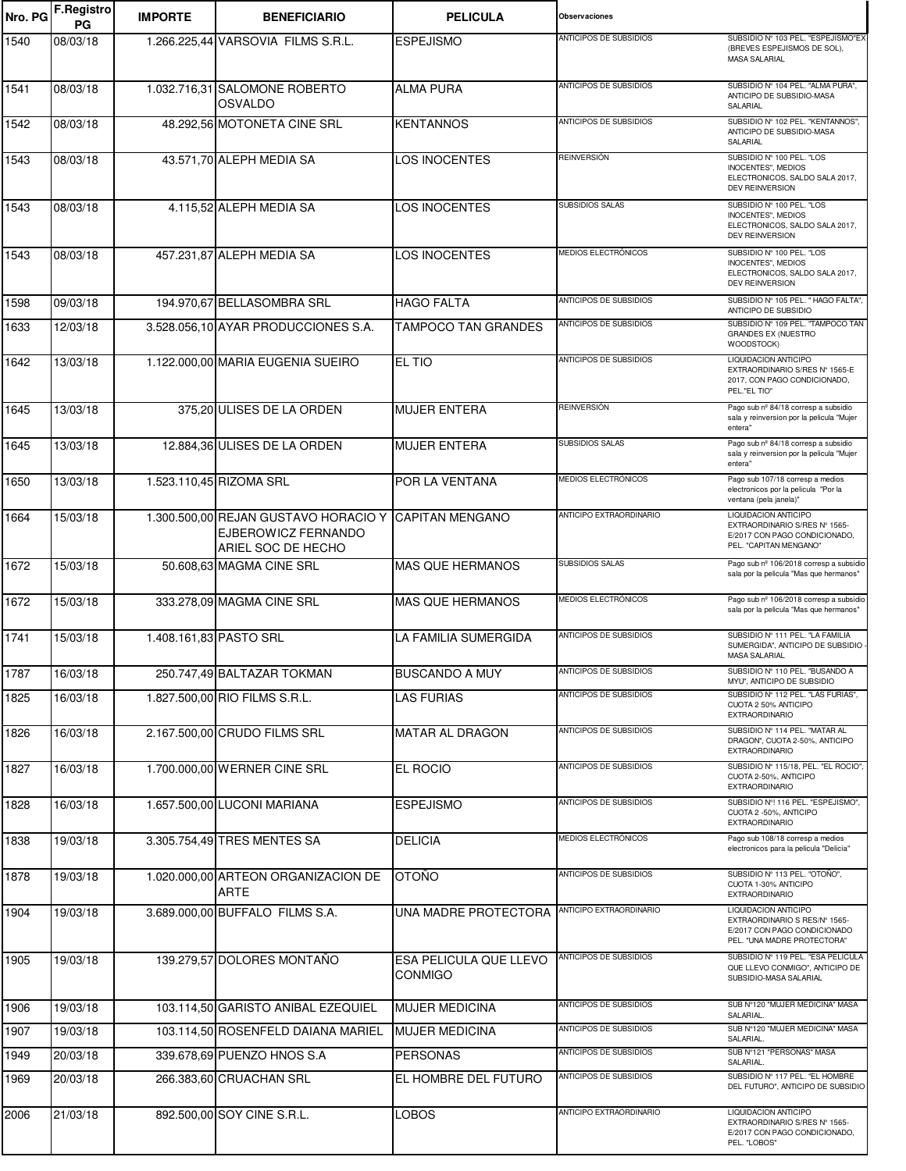| Nro. PG | <b>F.Registro</b><br>PG | <b>IMPORTE</b>         | <b>BENEFICIARIO</b>                                                                               | <b>PELICULA</b>                   | <b>Observaciones</b>           |                                                                                                                      |
|---------|-------------------------|------------------------|---------------------------------------------------------------------------------------------------|-----------------------------------|--------------------------------|----------------------------------------------------------------------------------------------------------------------|
| 1540    | 08/03/18                |                        | 1.266.225,44 VARSOVIA FILMS S.R.L.                                                                | <b>ESPEJISMO</b>                  | ANTICIPOS DE SUBSIDIOS         | SUBSIDIO Nº 103 PEL. "ESPEJISMO"EX<br>(BREVES ESPEJISMOS DE SOL).<br>MASA SALARIAL                                   |
| 1541    | 08/03/18                |                        | 1.032.716,31 SALOMONE ROBERTO<br>OSVALDO                                                          | <b>ALMA PURA</b>                  | ANTICIPOS DE SUBSIDIOS         | SUBSIDIO Nº 104 PEL. "ALMA PURA",<br>ANTICIPO DE SUBSIDIO-MASA<br>SALARIAL                                           |
| 1542    | 08/03/18                |                        | 48.292,56 MOTONETA CINE SRL                                                                       | <b>KENTANNOS</b>                  | ANTICIPOS DE SUBSIDIOS         | SUBSIDIO Nº 102 PEL. "KENTANNOS",<br>ANTICIPO DE SUBSIDIO-MASA<br>SALARIAL                                           |
| 1543    | 08/03/18                |                        | 43.571,70 ALEPH MEDIA SA                                                                          | <b>LOS INOCENTES</b>              | <b>REINVERSIÓN</b>             | SUBSIDIO Nº 100 PEL. "LOS<br>INOCENTES", MEDIOS<br>ELECTRONICOS, SALDO SALA 2017,<br><b>DEV REINVERSION</b>          |
| 1543    | 08/03/18                |                        | 4.115,52 ALEPH MEDIA SA                                                                           | <b>LOS INOCENTES</b>              | <b>SUBSIDIOS SALAS</b>         | SUBSIDIO Nº 100 PEL. "LOS<br>INOCENTES", MEDIOS<br>ELECTRONICOS, SALDO SALA 2017,<br><b>DEV REINVERSION</b>          |
| 1543    | 08/03/18                |                        | 457.231,87 ALEPH MEDIA SA                                                                         | <b>LOS INOCENTES</b>              | MEDIOS ELECTRÓNICOS            | SUBSIDIO Nº 100 PEL. "LOS<br>INOCENTES", MEDIOS<br>ELECTRONICOS, SALDO SALA 2017,<br>DEV REINVERSION                 |
| 1598    | 09/03/18                |                        | 194.970,67 BELLASOMBRA SRL                                                                        | <b>HAGO FALTA</b>                 | ANTICIPOS DE SUBSIDIOS         | SUBSIDIO Nº 105 PEL. " HAGO FALTA",<br>ANTICIPO DE SUBSIDIO                                                          |
| 1633    | 12/03/18                |                        | 3.528.056,10 AYAR PRODUCCIONES S.A.                                                               | <b>TAMPOCO TAN GRANDES</b>        | <b>ANTICIPOS DE SUBSIDIOS</b>  | SUBSIDIO Nº 109 PEL. "TAMPOCO TAN<br><b>GRANDES EX (NUESTRO</b><br>WOODSTOCK)                                        |
| 1642    | 13/03/18                |                        | 1.122.000,00 MARIA EUGENIA SUEIRO                                                                 | EL TIO                            | <b>ANTICIPOS DE SUBSIDIOS</b>  | LIQUIDACION ANTICIPO<br>EXTRAORDINARIO S/RES Nº 1565-E<br>2017, CON PAGO CONDICIONADO,<br>PEL."EL TIO"               |
| 1645    | 13/03/18                |                        | 375,20 ULISES DE LA ORDEN                                                                         | <b>MUJER ENTERA</b>               | <b>REINVERSIÓN</b>             | Pago sub nº 84/18 corresp a subsidio<br>sala y reinversion por la pelicula "Mujer<br>entera"                         |
| 1645    | 13/03/18                |                        | 12.884,36 ULISES DE LA ORDEN                                                                      | <b>MUJER ENTERA</b>               | <b>SUBSIDIOS SALAS</b>         | Pago sub nº 84/18 corresp a subsidio<br>sala y reinversion por la pelicula "Mujer<br>entera"                         |
| 1650    | 13/03/18                |                        | 1.523.110,45 RIZOMA SRL                                                                           | POR LA VENTANA                    | MEDIOS ELECTRÓNICOS            | Pago sub 107/18 corresp a medios<br>electronicos por la película "Por la<br>ventana (pela janela)"                   |
| 1664    | 15/03/18                |                        | 1.300.500,00 REJAN GUSTAVO HORACIO Y CAPITAN MENGANO<br>EJBEROWICZ FERNANDO<br>ARIEL SOC DE HECHO |                                   | ANTICIPO EXTRAORDINARIO        | LIQUIDACION ANTICIPO<br>EXTRAORDINARIO S/RES Nº 1565-<br>E/2017 CON PAGO CONDICIONADO,<br>PEL. "CAPITAN MENGANO"     |
| 1672    | 15/03/18                |                        | 50.608,63 MAGMA CINE SRL                                                                          | <b>MAS QUE HERMANOS</b>           | <b>SUBSIDIOS SALAS</b>         | Pago sub nº 106/2018 corresp a subsidio<br>sala por la pelicula "Mas que hermanos"                                   |
| 1672    | 15/03/18                |                        | 333.278,09 MAGMA CINE SRL                                                                         | <b>MAS QUE HERMANOS</b>           | MEDIOS ELECTRÓNICOS            | Pago sub nº 106/2018 corresp a subsidio<br>sala por la pelicula "Mas que hermanos"                                   |
| 1741    | 15/03/18                | 1.408.161,83 PASTO SRL |                                                                                                   | LA FAMILIA SUMERGIDA              | ANTICIPOS DE SUBSIDIOS         | SUBSIDIO Nº 111 PEL. "LA FAMILIA<br>SUMERGIDA", ANTICIPO DE SUBSIDIO<br>MASA SALARIAL                                |
| 1787    | 16/03/18                |                        | 250.747,49 BALTAZAR TOKMAN                                                                        | <b>BUSCANDO A MUY</b>             | ANTICIPOS DE SUBSIDIOS         | SUBSIDIO Nº 110 PEL. "BUSANDO A<br>MYU", ANTICIPO DE SUBSIDIO                                                        |
| 1825    | 16/03/18                |                        | 1.827.500,00 RIO FILMS S.R.L.                                                                     | <b>LAS FURIAS</b>                 | <b>ANTICIPOS DE SUBSIDIOS</b>  | SUBSIDIO Nº 112 PEL. "LAS FURIAS",<br>CUOTA 2 50% ANTICIPO<br><b>EXTRAORDINARIO</b>                                  |
| 1826    | 16/03/18                |                        | 2.167.500,00 CRUDO FILMS SRL                                                                      | <b>MATAR AL DRAGON</b>            | ANTICIPOS DE SUBSIDIOS         | SUBSIDIO Nº 114 PEL. "MATAR AL<br>DRAGON", CUOTA 2-50%, ANTICIPO<br><b>EXTRAORDINARIO</b>                            |
| 1827    | 16/03/18                |                        | 1.700.000,00 WERNER CINE SRL                                                                      | EL ROCIO                          | ANTICIPOS DE SUBSIDIOS         | SUBSIDIO Nº 115/18, PEL. "EL ROCIO",<br>CUOTA 2-50%, ANTICIPO<br><b>EXTRAORDINARIO</b>                               |
| 1828    | 16/03/18                |                        | 1.657.500,00 LUCONI MARIANA                                                                       | <b>ESPEJISMO</b>                  | ANTICIPOS DE SUBSIDIOS         | SUBSIDIO Nº! 116 PEL. "ESPEJISMO",<br>CUOTA 2 -50%, ANTICIPO<br><b>EXTRAORDINARIO</b>                                |
| 1838    | 19/03/18                |                        | 3.305.754,49 TRES MENTES SA                                                                       | <b>DELICIA</b>                    | MEDIOS ELECTRÓNICOS            | Pago sub 108/18 corresp a medios<br>electronicos para la película "Delicia"                                          |
| 1878    | 19/03/18                |                        | 1.020.000.00 ARTEON ORGANIZACION DE<br><b>ARTE</b>                                                | <b>OTOÑO</b>                      | <b>ANTICIPOS DE SUBSIDIOS</b>  | SUBSIDIO Nº 113 PEL. "OTOÑO",<br>CUOTA 1-30% ANTICIPO<br><b>EXTRAORDINARIO</b>                                       |
| 1904    | 19/03/18                |                        | 3.689.000,00 BUFFALO FILMS S.A.                                                                   | UNA MADRE PROTECTORA              | <b>ANTICIPO EXTRAORDINARIO</b> | LIQUIDACION ANTICIPO<br>EXTRAORDINARIO S RES/N° 1565-<br>E/2017 CON PAGO CONDICIONADO<br>PEL. "UNA MADRE PROTECTORA" |
| 1905    | 19/03/18                |                        | 139.279,57 DOLORES MONTAÑO                                                                        | ESA PELICULA QUE LLEVO<br>CONMIGO | ANTICIPOS DE SUBSIDIOS         | SUBSIDIO Nº 119 PEL. "ESA PELICULA<br>QUE LLEVO CONMIGO", ANTICIPO DE<br>SUBSIDIO-MASA SALARIAL                      |
| 1906    | 19/03/18                |                        | 103.114,50 GARISTO ANIBAL EZEQUIEL                                                                | <b>MUJER MEDICINA</b>             | ANTICIPOS DE SUBSIDIOS         | SUB N°120 "MUJER MEDICINA" MASA<br><b>SALARIAL</b>                                                                   |
| 1907    | 19/03/18                |                        | 103.114,50 ROSENFELD DAIANA MARIEL                                                                | <b>MUJER MEDICINA</b>             | ANTICIPOS DE SUBSIDIOS         | SUB N°120 "MUJER MEDICINA" MASA<br>SALARIAL.                                                                         |
| 1949    | 20/03/18                |                        | 339.678,69 PUENZO HNOS S.A                                                                        | <b>PERSONAS</b>                   | ANTICIPOS DE SUBSIDIOS         | SUB Nº121 "PERSONAS" MASA<br>SALARIAL.                                                                               |
| 1969    | 20/03/18                |                        | 266.383,60 CRUACHAN SRL                                                                           | EL HOMBRE DEL FUTURO              | ANTICIPOS DE SUBSIDIOS         | SUBSIDIO Nº 117 PEL. "EL HOMBRE<br>DEL FUTURO", ANTICIPO DE SUBSIDIO                                                 |
| 2006    | 21/03/18                |                        | 892.500,00 SOY CINE S.R.L.                                                                        | LOBOS                             | ANTICIPO EXTRAORDINARIO        | LIQUIDACION ANTICIPO<br>EXTRAORDINARIO S/RES Nº 1565-<br>E/2017 CON PAGO CONDICIONADO,<br>PEL. "LOBOS"               |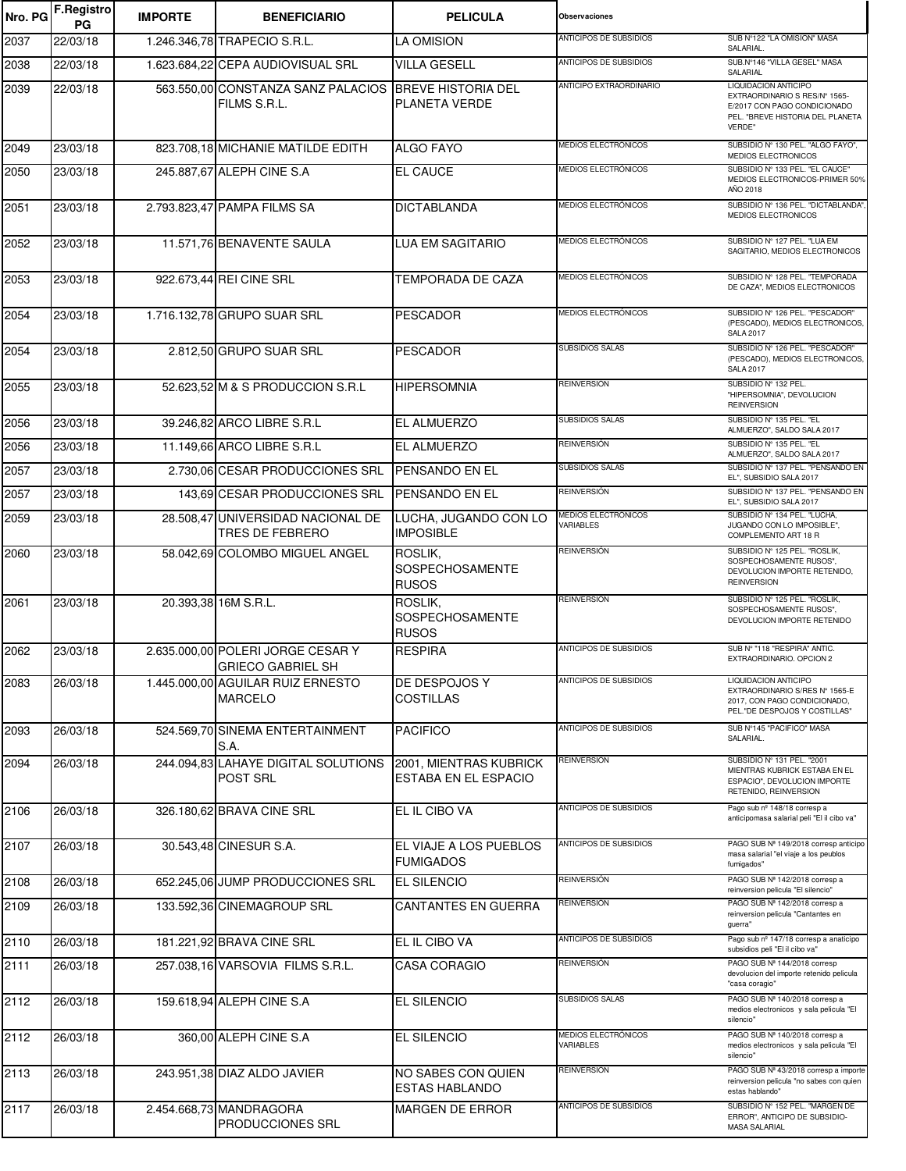| Nro. PG | <b>F.Registro</b><br>PG | <b>IMPORTE</b> | <b>BENEFICIARIO</b>                                                   | <b>PELICULA</b>                                   | <b>Observaciones</b>             |                                                                                                                                     |
|---------|-------------------------|----------------|-----------------------------------------------------------------------|---------------------------------------------------|----------------------------------|-------------------------------------------------------------------------------------------------------------------------------------|
| 2037    | 22/03/18                |                | 1.246.346,78 TRAPECIO S.R.L.                                          | <b>LA OMISION</b>                                 | ANTICIPOS DE SUBSIDIOS           | SUB Nº122 "LA OMISION" MASA<br>SALARIAL.                                                                                            |
| 2038    | 22/03/18                |                | 1.623.684,22 CEPA AUDIOVISUAL SRL                                     | <b>VILLA GESELL</b>                               | <b>ANTICIPOS DE SUBSIDIOS</b>    | SUB.Nº146 "VILLA GESEL" MASA<br>SALARIAL                                                                                            |
| 2039    | 22/03/18                |                | 563.550,00 CONSTANZA SANZ PALACIOS BREVE HISTORIA DEL<br>FILMS S.R.L. | PLANETA VERDE                                     | ANTICIPO EXTRAORDINARIO          | LIQUIDACION ANTICIPO<br>EXTRAORDINARIO S RES/N° 1565-<br>E/2017 CON PAGO CONDICIONADO<br>PEL. "BREVE HISTORIA DEL PLANETA<br>VERDE" |
| 2049    | 23/03/18                |                | 823.708,18 MICHANIE MATILDE EDITH                                     | <b>ALGO FAYO</b>                                  | MEDIOS ELECTRÓNICOS              | SUBSIDIO Nº 130 PEL. "ALGO FAYO",<br>MEDIOS ELECTRONICOS                                                                            |
| 2050    | 23/03/18                |                | 245.887,67 ALEPH CINE S.A                                             | <b>EL CAUCE</b>                                   | MEDIOS ELECTRÓNICOS              | SUBSIDIO Nº 133 PEL. "EL CAUCE"<br>MEDIOS ELECTRONICOS-PRIMER 50%<br>AÑO 2018                                                       |
| 2051    | 23/03/18                |                | 2.793.823,47 PAMPA FILMS SA                                           | <b>DICTABLANDA</b>                                | MEDIOS ELECTRÓNICOS              | SUBSIDIO Nº 136 PEL. "DICTABLANDA",<br>MEDIOS ELECTRONICOS                                                                          |
| 2052    | 23/03/18                |                | 11.571,76 BENAVENTE SAULA                                             | <b>LUA EM SAGITARIO</b>                           | MEDIOS ELECTRÓNICOS              | SUBSIDIO Nº 127 PEL. "LUA EM<br>SAGITARIO, MEDIOS ELECTRONICOS                                                                      |
| 2053    | 23/03/18                |                | 922.673,44 REI CINE SRL                                               | TEMPORADA DE CAZA                                 | MEDIOS ELECTRÓNICOS              | SUBSIDIO Nº 128 PEL. "TEMPORADA<br>DE CAZA", MEDIOS ELECTRONICOS                                                                    |
| 2054    | 23/03/18                |                | 1.716.132,78 GRUPO SUAR SRL                                           | PESCADOR                                          | MEDIOS ELECTRÓNICOS              | SUBSIDIO Nº 126 PEL. "PESCADOR"<br>(PESCADO), MEDIOS ELECTRONICOS,<br><b>SALA 2017</b>                                              |
| 2054    | 23/03/18                |                | 2.812,50 GRUPO SUAR SRL                                               | <b>PESCADOR</b>                                   | SUBSIDIOS SALAS                  | SUBSIDIO Nº 126 PEL. "PESCADOR"<br>(PESCADO), MEDIOS ELECTRONICOS,<br><b>SALA 2017</b>                                              |
| 2055    | 23/03/18                |                | 52.623,52 M & S PRODUCCION S.R.L                                      | <b>HIPERSOMNIA</b>                                | <b>REINVERSIÓN</b>               | SUBSIDIO Nº 132 PEL.<br>"HIPERSOMNIA", DEVOLUCION<br><b>REINVERSION</b>                                                             |
| 2056    | 23/03/18                |                | 39.246,82 ARCO LIBRE S.R.L                                            | <b>EL ALMUERZO</b>                                | SUBSIDIOS SALAS                  | SUBSIDIO Nº 135 PEL. "EL<br>ALMUERZO", SALDO SALA 2017                                                                              |
| 2056    | 23/03/18                |                | 11.149,66 ARCO LIBRE S.R.L                                            | <b>EL ALMUERZO</b>                                | <b>REINVERSIÓN</b>               | SUBSIDIO Nº 135 PEL. "EL<br>ALMUERZO", SALDO SALA 2017                                                                              |
| 2057    | 23/03/18                |                | 2.730,06 CESAR PRODUCCIONES SRL                                       | <b>PENSANDO EN EL</b>                             | <b>SUBSIDIOS SALAS</b>           | SUBSIDIO Nº 137 PEL. "PENSANDO EN<br>EL", SUBSIDIO SALA 2017                                                                        |
| 2057    | 23/03/18                |                | 143,69 CESAR PRODUCCIONES SRL                                         | <b>PENSANDO EN EL</b>                             | <b>REINVERSIÓN</b>               | SUBSIDIO Nº 137 PEL. "PENSANDO EN<br>EL", SUBSIDIO SALA 2017                                                                        |
| 2059    | 23/03/18                |                | 28.508,47 UNIVERSIDAD NACIONAL DE<br><b>TRES DE FEBRERO</b>           | LUCHA, JUGANDO CON LO<br><b>IMPOSIBLE</b>         | MEDIOS ELECTRÓNICOS<br>VARIABLES | SUBSIDIO Nº 134 PEL. "LUCHA,<br>JUGANDO CON LO IMPOSIBLE",<br>COMPLEMENTO ART 18 R                                                  |
| 2060    | 23/03/18                |                | 58.042,69 COLOMBO MIGUEL ANGEL                                        | ROSLIK.<br><b>SOSPECHOSAMENTE</b><br><b>RUSOS</b> | <b>REINVERSIÓN</b>               | SUBSIDIO Nº 125 PEL. "ROSLIK,<br>SOSPECHOSAMENTE RUSOS",<br>DEVOLUCION IMPORTE RETENIDO,<br><b>REINVERSION</b>                      |
| 2061    | 23/03/18                |                | 20.393,38 16M S.R.L.                                                  | ROSLIK.<br>SOSPECHOSAMENTE<br><b>RUSOS</b>        | <b>REINVERSIÓN</b>               | SUBSIDIO Nº 125 PEL. "ROSLIK,<br>SOSPECHOSAMENTE RUSOS",<br>DEVOLUCION IMPORTE RETENIDO                                             |
| 2062    | 23/03/18                |                | 2.635.000,00 POLERI JORGE CESAR Y<br><b>GRIECO GABRIEL SH</b>         | <b>RESPIRA</b>                                    | <b>ANTICIPOS DE SUBSIDIOS</b>    | SUB Nº "118 "RESPIRA" ANTIC.<br>EXTRAORDINARIO. OPCION 2                                                                            |
| 2083    | 26/03/18                |                | 1.445.000,00 AGUILAR RUIZ ERNESTO<br><b>MARCELO</b>                   | DE DESPOJOS Y<br><b>COSTILLAS</b>                 | <b>ANTICIPOS DE SUBSIDIOS</b>    | <b>LIQUIDACION ANTICIPO</b><br>EXTRAORDINARIO S/RES Nº 1565-E<br>2017, CON PAGO CONDICIONADO,<br>PEL."DE DESPOJOS Y COSTILLAS"      |
| 2093    | 26/03/18                |                | 524.569,70 SINEMA ENTERTAINMENT<br>S.A.                               | <b>PACIFICO</b>                                   | ANTICIPOS DE SUBSIDIOS           | SUB Nº145 "PACIFICO" MASA<br>SALARIAL.                                                                                              |
| 2094    | 26/03/18                |                | 244.094,83 LAHAYE DIGITAL SOLUTIONS<br><b>POST SRL</b>                | 2001, MIENTRAS KUBRICK<br>ESTABA EN EL ESPACIO    | REINVERSIÓN                      | SUBSIDIO Nº 131 PEL. "2001<br>MIENTRAS KUBRICK ESTABA EN EL<br>ESPACIO", DEVOLUCION IMPORTE<br>RETENIDO, REINVERSION                |
| 2106    | 26/03/18                |                | 326.180,62 BRAVA CINE SRL                                             | EL IL CIBO VA                                     | ANTICIPOS DE SUBSIDIOS           | Pago sub nº 148/18 corresp a<br>anticipomasa salarial peli "El il cibo va"                                                          |
| 2107    | 26/03/18                |                | 30.543,48 CINESUR S.A.                                                | EL VIAJE A LOS PUEBLOS<br><b>FUMIGADOS</b>        | ANTICIPOS DE SUBSIDIOS           | PAGO SUB № 149/2018 corresp anticipo<br>masa salarial "el viaje a los peublos<br>fumigados"                                         |
| 2108    | 26/03/18                |                | 652.245,06 JUMP PRODUCCIONES SRL                                      | <b>EL SILENCIO</b>                                | <b>REINVERSIÓN</b>               | PAGO SUB № 142/2018 corresp a<br>reinversion pelicula "El silencio"                                                                 |
| 2109    | 26/03/18                |                | 133.592,36 CINEMAGROUP SRL                                            | <b>CANTANTES EN GUERRA</b>                        | REINVERSIÓN                      | PAGO SUB Nª 142/2018 corresp a<br>reinversion pelicula "Cantantes en<br>guerra"                                                     |
| 2110    | 26/03/18                |                | 181.221,92 BRAVA CINE SRL                                             | EL IL CIBO VA                                     | <b>ANTICIPOS DE SUBSIDIOS</b>    | Pago sub nº 147/18 corresp a anaticipo<br>subsidios peli "El il cibo va"                                                            |
| 2111    | 26/03/18                |                | 257.038,16 VARSOVIA FILMS S.R.L.                                      | <b>CASA CORAGIO</b>                               | REINVERSIÓN                      | PAGO SUB Nº 144/2018 corresp<br>devolucion del importe retenido pelicula<br>"casa coragio"                                          |
| 2112    | 26/03/18                |                | 159.618,94 ALEPH CINE S.A                                             | <b>EL SILENCIO</b>                                | SUBSIDIOS SALAS                  | PAGO SUB № 140/2018 corresp a<br>medios electronicos y sala pelicula "El<br>silencio"                                               |
| 2112    | 26/03/18                |                | 360,00 ALEPH CINE S.A                                                 | <b>EL SILENCIO</b>                                | MEDIOS ELECTRÓNICOS<br>VARIABLES | PAGO SUB № 140/2018 corresp a<br>medios electronicos y sala pelicula "El<br>silencio"                                               |
| 2113    | 26/03/18                |                | 243.951,38 DIAZ ALDO JAVIER                                           | NO SABES CON QUIEN<br><b>ESTAS HABLANDO</b>       | <b>REINVERSIÓN</b>               | PAGO SUB № 43/2018 corresp a importe<br>reinversion pelicula "no sabes con quien<br>estas hablando"                                 |
| 2117    | 26/03/18                |                | 2.454.668,73 MANDRAGORA<br>PRODUCCIONES SRL                           | <b>MARGEN DE ERROR</b>                            | ANTICIPOS DE SUBSIDIOS           | SUBSIDIO Nº 152 PEL. "MARGEN DE<br>ERROR", ANTICIPO DE SUBSIDIO-<br>MASA SALARIAL                                                   |